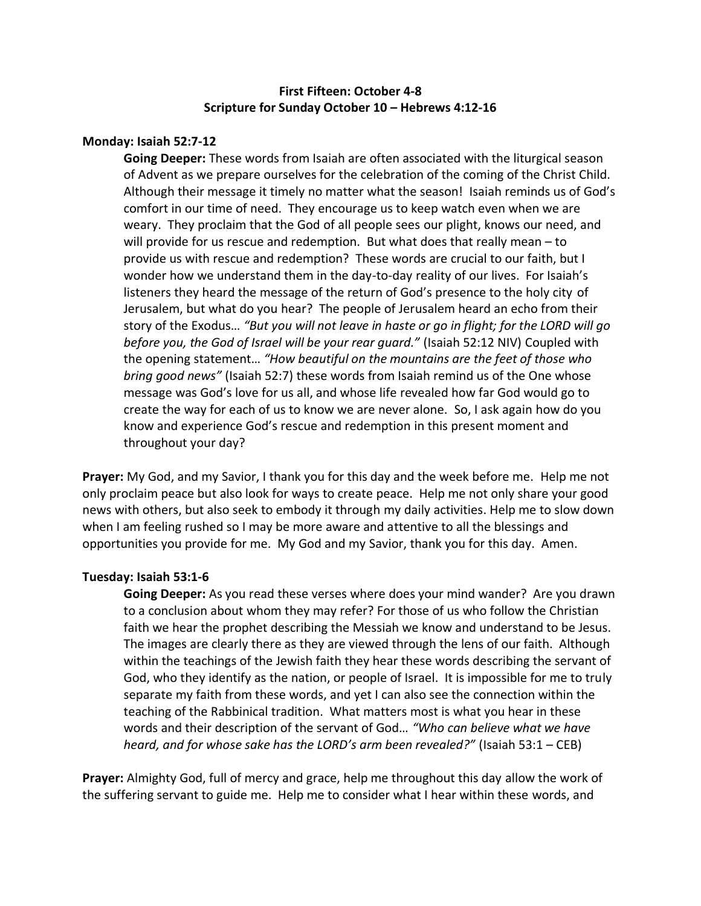# **First Fifteen: October 4-8 Scripture for Sunday October 10 – Hebrews 4:12-16**

### **Monday: Isaiah 52:7-12**

**Going Deeper:** These words from Isaiah are often associated with the liturgical season of Advent as we prepare ourselves for the celebration of the coming of the Christ Child. Although their message it timely no matter what the season! Isaiah reminds us of God's comfort in our time of need. They encourage us to keep watch even when we are weary. They proclaim that the God of all people sees our plight, knows our need, and will provide for us rescue and redemption. But what does that really mean – to provide us with rescue and redemption? These words are crucial to our faith, but I wonder how we understand them in the day-to-day reality of our lives. For Isaiah's listeners they heard the message of the return of God's presence to the holy city of Jerusalem, but what do you hear? The people of Jerusalem heard an echo from their story of the Exodus… *"But you will not leave in haste or go in flight; for the LORD will go before you, the God of Israel will be your rear guard."* (Isaiah 52:12 NIV) Coupled with the opening statement… *"How beautiful on the mountains are the feet of those who bring good news"* (Isaiah 52:7) these words from Isaiah remind us of the One whose message was God's love for us all, and whose life revealed how far God would go to create the way for each of us to know we are never alone. So, I ask again how do you know and experience God's rescue and redemption in this present moment and throughout your day?

**Prayer:** My God, and my Savior, I thank you for this day and the week before me. Help me not only proclaim peace but also look for ways to create peace. Help me not only share your good news with others, but also seek to embody it through my daily activities. Help me to slow down when I am feeling rushed so I may be more aware and attentive to all the blessings and opportunities you provide for me. My God and my Savior, thank you for this day. Amen.

#### **Tuesday: Isaiah 53:1-6**

**Going Deeper:** As you read these verses where does your mind wander? Are you drawn to a conclusion about whom they may refer? For those of us who follow the Christian faith we hear the prophet describing the Messiah we know and understand to be Jesus. The images are clearly there as they are viewed through the lens of our faith. Although within the teachings of the Jewish faith they hear these words describing the servant of God, who they identify as the nation, or people of Israel. It is impossible for me to truly separate my faith from these words, and yet I can also see the connection within the teaching of the Rabbinical tradition. What matters most is what you hear in these words and their description of the servant of God… *"Who can believe what we have heard, and for whose sake has the LORD's arm been revealed?"* (Isaiah 53:1 – CEB)

**Prayer:** Almighty God, full of mercy and grace, help me throughout this day allow the work of the suffering servant to guide me. Help me to consider what I hear within these words, and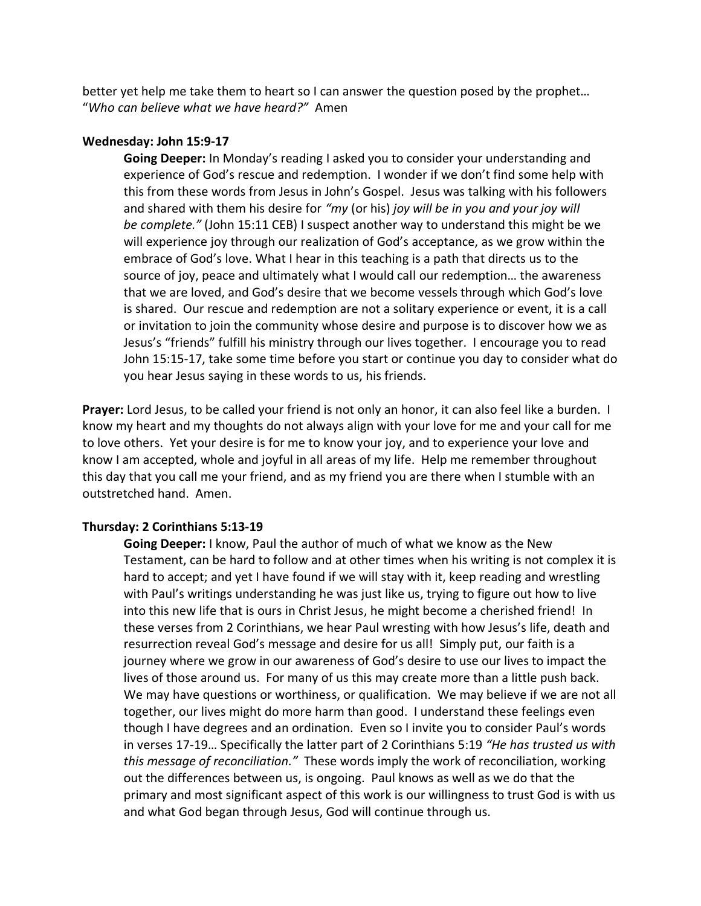better yet help me take them to heart so I can answer the question posed by the prophet… "*Who can believe what we have heard?"* Amen

#### **Wednesday: John 15:9-17**

**Going Deeper:** In Monday's reading I asked you to consider your understanding and experience of God's rescue and redemption. I wonder if we don't find some help with this from these words from Jesus in John's Gospel. Jesus was talking with his followers and shared with them his desire for *"my* (or his) *joy will be in you and your joy will be complete."* (John 15:11 CEB) I suspect another way to understand this might be we will experience joy through our realization of God's acceptance, as we grow within the embrace of God's love. What I hear in this teaching is a path that directs us to the source of joy, peace and ultimately what I would call our redemption… the awareness that we are loved, and God's desire that we become vessels through which God's love is shared. Our rescue and redemption are not a solitary experience or event, it is a call or invitation to join the community whose desire and purpose is to discover how we as Jesus's "friends" fulfill his ministry through our lives together. I encourage you to read John 15:15-17, take some time before you start or continue you day to consider what do you hear Jesus saying in these words to us, his friends.

**Prayer:** Lord Jesus, to be called your friend is not only an honor, it can also feel like a burden. I know my heart and my thoughts do not always align with your love for me and your call for me to love others. Yet your desire is for me to know your joy, and to experience your love and know I am accepted, whole and joyful in all areas of my life. Help me remember throughout this day that you call me your friend, and as my friend you are there when I stumble with an outstretched hand. Amen.

### **Thursday: 2 Corinthians 5:13-19**

**Going Deeper:** I know, Paul the author of much of what we know as the New Testament, can be hard to follow and at other times when his writing is not complex it is hard to accept; and yet I have found if we will stay with it, keep reading and wrestling with Paul's writings understanding he was just like us, trying to figure out how to live into this new life that is ours in Christ Jesus, he might become a cherished friend! In these verses from 2 Corinthians, we hear Paul wresting with how Jesus's life, death and resurrection reveal God's message and desire for us all! Simply put, our faith is a journey where we grow in our awareness of God's desire to use our lives to impact the lives of those around us. For many of us this may create more than a little push back. We may have questions or worthiness, or qualification. We may believe if we are not all together, our lives might do more harm than good. I understand these feelings even though I have degrees and an ordination. Even so I invite you to consider Paul's words in verses 17-19… Specifically the latter part of 2 Corinthians 5:19 *"He has trusted us with this message of reconciliation."* These words imply the work of reconciliation, working out the differences between us, is ongoing. Paul knows as well as we do that the primary and most significant aspect of this work is our willingness to trust God is with us and what God began through Jesus, God will continue through us.